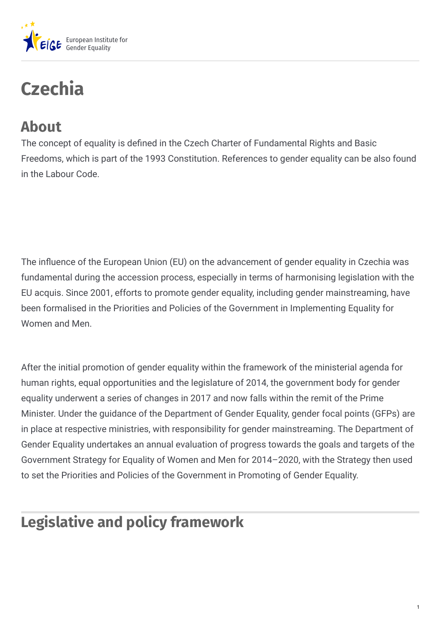

# **Czechia**

# **About**

The concept of equality is defined in the Czech Charter of Fundamental Rights and Basic Freedoms, which is part of the 1993 Constitution. References to gender equality can be also found in the Labour Code.

The influence of the European Union (EU) on the advancement of gender equality in Czechia was fundamental during the accession process, especially in terms of harmonising legislation with the EU acquis. Since 2001, efforts to promote gender equality, including gender mainstreaming, have been formalised in the Priorities and Policies of the Government in Implementing Equality for Women and Men.

After the initial promotion of gender equality within the framework of the ministerial agenda for human rights, equal opportunities and the legislature of 2014, the government body for gender equality underwent a series of changes in 2017 and now falls within the remit of the Prime Minister. Under the guidance of the Department of Gender Equality, gender focal points (GFPs) are in place at respective ministries, with responsibility for gender mainstreaming. The Department of Gender Equality undertakes an annual evaluation of progress towards the goals and targets of the Government Strategy for Equality of Women and Men for 2014–2020, with the Strategy then used to set the Priorities and Policies of the Government in Promoting of Gender Equality.

# **Legislative and policy framework**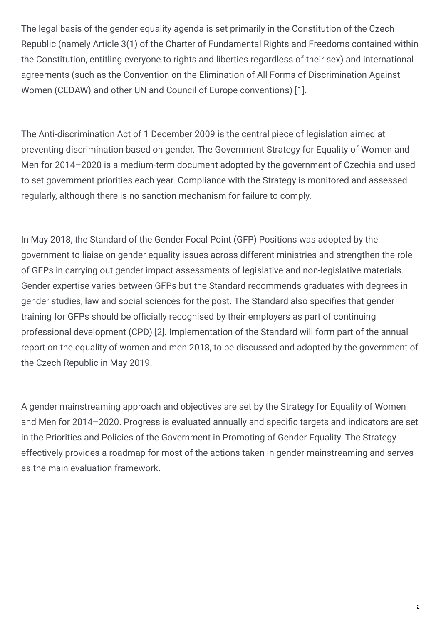The legal basis of the gender equality agenda is set primarily in the Constitution of the Czech Republic (namely Article 3(1) of the Charter of Fundamental Rights and Freedoms contained within the Constitution, entitling everyone to rights and liberties regardless of their sex) and international agreements (such as the Convention on the Elimination of All Forms of Discrimination Against Women (CEDAW) and other UN and Council of Europe conventions) [1].

The Anti-discrimination Act of 1 December 2009 is the central piece of legislation aimed at preventing discrimination based on gender. The Government Strategy for Equality of Women and Men for 2014–2020 is a medium-term document adopted by the government of Czechia and used to set government priorities each year. Compliance with the Strategy is monitored and assessed regularly, although there is no sanction mechanism for failure to comply.

In May 2018, the Standard of the Gender Focal Point (GFP) Positions was adopted by the government to liaise on gender equality issues across different ministries and strengthen the role of GFPs in carrying out gender impact assessments of legislative and non-legislative materials. Gender expertise varies between GFPs but the Standard recommends graduates with degrees in gender studies, law and social sciences for the post. The Standard also specifies that gender training for GFPs should be officially recognised by their employers as part of continuing professional development (CPD) [2]. Implementation of the Standard will form part of the annual report on the equality of women and men 2018, to be discussed and adopted by the government of the Czech Republic in May 2019.

A gender mainstreaming approach and objectives are set by the Strategy for Equality of Women and Men for 2014–2020. Progress is evaluated annually and specific targets and indicators are set in the Priorities and Policies of the Government in Promoting of Gender Equality. The Strategy effectively provides a roadmap for most of the actions taken in gender mainstreaming and serves as the main evaluation framework.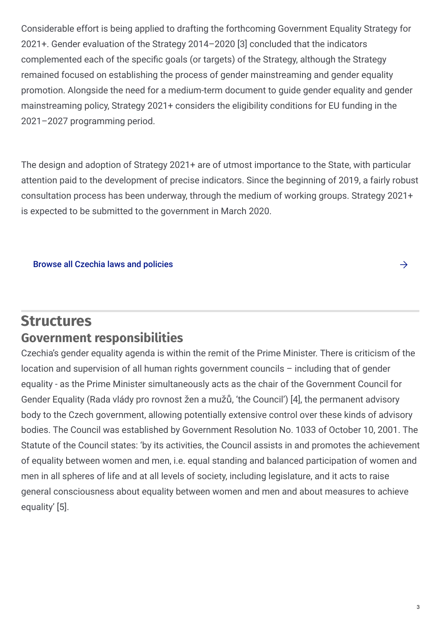Considerable effort is being applied to drafting the forthcoming Government Equality Strategy for 2021+. Gender evaluation of the Strategy 2014–2020 [3] concluded that the indicators complemented each of the specific goals (or targets) of the Strategy, although the Strategy remained focused on establishing the process of gender mainstreaming and gender equality promotion. Alongside the need for a medium-term document to guide gender equality and gender mainstreaming policy, Strategy 2021+ considers the eligibility conditions for EU funding in the 2021–2027 programming period.

The design and adoption of Strategy 2021+ are of utmost importance to the State, with particular attention paid to the development of precise indicators. Since the beginning of 2019, a fairly robust consultation process has been underway, through the medium of working groups. Strategy 2021+ is expected to be submitted to the government in March 2020.

#### Browse all [Czechia](https://eige.europa.eu/gender-mainstreaming/countries/browse/czech-republic?tp[]=resource) laws and policies

#### **Structures Government responsibilities**

Czechia's gender equality agenda is within the remit of the Prime Minister. There is criticism of the location and supervision of all human rights government councils – including that of gender equality - as the Prime Minister simultaneously acts as the chair of the Government Council for Gender Equality (Rada vlády pro rovnost žen a mužů, 'the Council') [4], the permanent advisory body to the Czech government, allowing potentially extensive control over these kinds of advisory bodies. The Council was established by Government Resolution No. 1033 of October 10, 2001. The Statute of the Council states: 'by its activities, the Council assists in and promotes the achievement of equality between women and men, i.e. equal standing and balanced participation of women and men in all spheres of life and at all levels of society, including legislature, and it acts to raise general consciousness about equality between women and men and about measures to achieve equality' [5].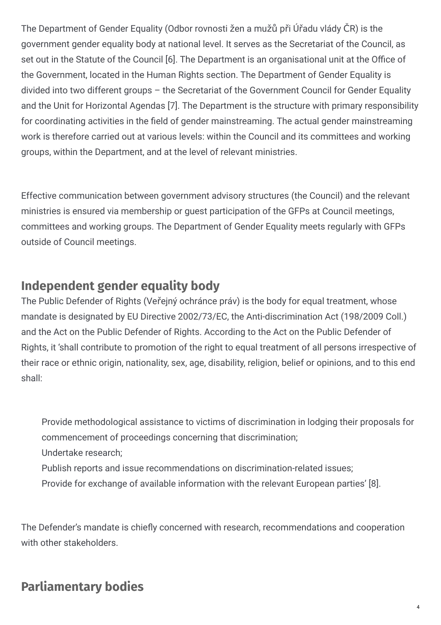The Department of Gender Equality (Odbor rovnosti žen a mužů při Úřadu vlády ČR) is the government gender equality body at national level. It serves as the Secretariat of the Council, as set out in the Statute of the Council [6]. The Department is an organisational unit at the Office of the Government, located in the Human Rights section. The Department of Gender Equality is divided into two different groups – the Secretariat of the Government Council for Gender Equality and the Unit for Horizontal Agendas [7]. The Department is the structure with primary responsibility for coordinating activities in the field of gender mainstreaming. The actual gender mainstreaming work is therefore carried out at various levels: within the Council and its committees and working groups, within the Department, and at the level of relevant ministries.

Effective communication between government advisory structures (the Council) and the relevant ministries is ensured via membership or guest participation of the GFPs at Council meetings, committees and working groups. The Department of Gender Equality meets regularly with GFPs outside of Council meetings.

## **Independent gender equality body**

The Public Defender of Rights (Veřejný ochránce práv) is the body for equal treatment, whose mandate is designated by EU Directive 2002/73/EC, the Anti-discrimination Act (198/2009 Coll.) and the Act on the Public Defender of Rights. According to the Act on the Public Defender of Rights, it 'shall contribute to promotion of the right to equal treatment of all persons irrespective of their race or ethnic origin, nationality, sex, age, disability, religion, belief or opinions, and to this end shall:

Provide methodological assistance to victims of discrimination in lodging their proposals for commencement of proceedings concerning that discrimination; Undertake research;

- Publish reports and issue recommendations on discrimination-related issues;
- Provide for exchange of available information with the relevant European parties' [8].

The Defender's mandate is chiefly concerned with research, recommendations and cooperation with other stakeholders.

## **Parliamentary bodies**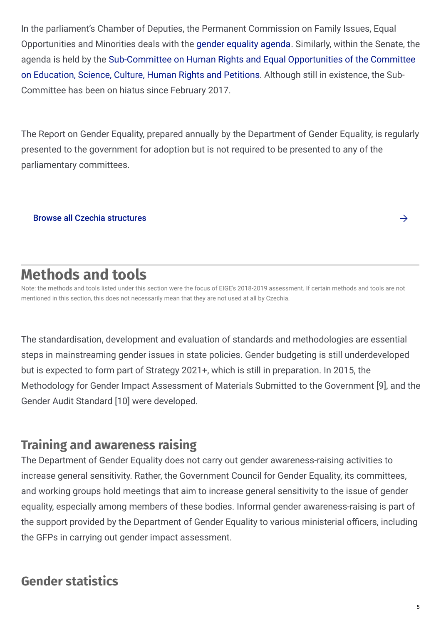In the parliament's Chamber of Deputies, the Permanent Commission on Family Issues, Equal Opportunities and Minorities deals with the gender [equality](http://www.psp.cz/en/sqw/hp.sqw?k=6000) agenda. Similarly, within the Senate, the agenda is held by the [Sub-Committee](http://www.senat.cz/organy/index.php?lng=en&ke_dni=21.4.2017&O=11&par_2=397) on Human Rights and Equal Opportunities of the Committee on Education, Science, Culture, Human Rights and Petitions. Although still in existence, the Sub-Committee has been on hiatus since February 2017.

The Report on Gender Equality, prepared annually by the Department of Gender Equality, is regularly presented to the government for adoption but is not required to be presented to any of the parliamentary committees.

Browse all Czechia [structures](https://eige.europa.eu/gender-mainstreaming/countries/browse/czech-republic?tp[]=structure)  $\rightarrow$ 

# **Methods and tools**

Note: the methods and tools listed under this section were the focus of EIGE's 2018-2019 assessment. If certain methods and tools are not mentioned in this section, this does not necessarily mean that they are not used at all by Czechia.

The standardisation, development and evaluation of standards and methodologies are essential steps in mainstreaming gender issues in state policies. Gender budgeting is still underdeveloped but is expected to form part of Strategy 2021+, which is still in preparation. In 2015, the Methodology for Gender Impact Assessment of Materials Submitted to the Government [9], and the Gender Audit Standard [10] were developed.

## **Training and awareness raising**

The Department of Gender Equality does not carry out gender awareness-raising activities to increase general sensitivity. Rather, the Government Council for Gender Equality, its committees, and working groups hold meetings that aim to increase general sensitivity to the issue of gender equality, especially among members of these bodies. Informal gender awareness-raising is part of the support provided by the Department of Gender Equality to various ministerial officers, including the GFPs in carrying out gender impact assessment.

# **Gender statistics**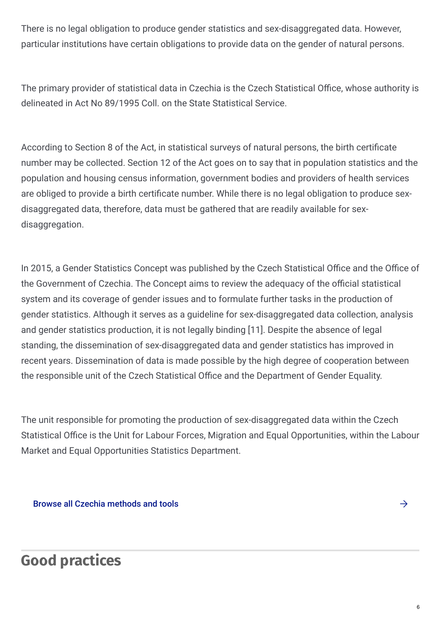There is no legal obligation to produce gender statistics and sex-disaggregated data. However, particular institutions have certain obligations to provide data on the gender of natural persons.

The primary provider of statistical data in Czechia is the Czech Statistical Office, whose authority is delineated in Act No 89/1995 Coll. on the State Statistical Service.

According to Section 8 of the Act, in statistical surveys of natural persons, the birth certificate number may be collected. Section 12 of the Act goes on to say that in population statistics and the population and housing census information, government bodies and providers of health services are obliged to provide a birth certificate number. While there is no legal obligation to produce sexdisaggregated data, therefore, data must be gathered that are readily available for sexdisaggregation.

In 2015, a Gender Statistics Concept was published by the Czech Statistical Office and the Office of the Government of Czechia. The Concept aims to review the adequacy of the official statistical system and its coverage of gender issues and to formulate further tasks in the production of gender statistics. Although it serves as a guideline for sex-disaggregated data collection, analysis and gender statistics production, it is not legally binding [11]. Despite the absence of legal standing, the dissemination of sex-disaggregated data and gender statistics has improved in recent years. Dissemination of data is made possible by the high degree of cooperation between the responsible unit of the Czech Statistical Office and the Department of Gender Equality.

The unit responsible for promoting the production of sex-disaggregated data within the Czech Statistical Office is the Unit for Labour Forces, Migration and Equal Opportunities, within the Labour Market and Equal Opportunities Statistics Department.

Browse all Czechia [methods](https://eige.europa.eu/gender-mainstreaming/countries/browse/czech-republic?tp[]=method_tool) and tools

# **Good practices**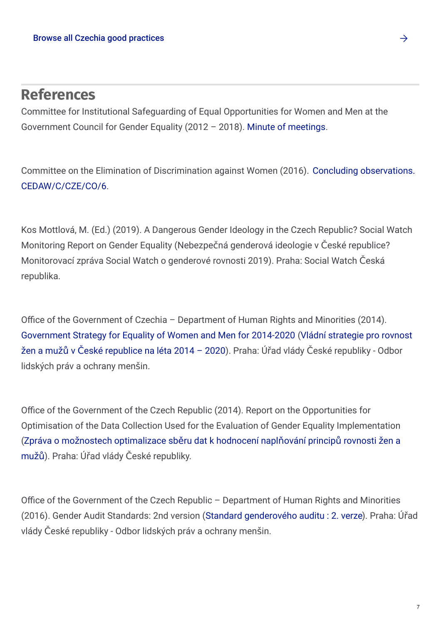## **References**

Committee for Institutional Safeguarding of Equal Opportunities for Women and Men at the Government Council for Gender Equality (2012 – 2018). Minute of [meetings](http://www.vlada.cz/cz/ppov/rovne-prilezitosti-zen-a-muzu/institucionalni_zabezpeceni/vybor-pro-institucionalni-zabezpeceni-rovnosti-zen-a-muzu--121941/).

Committee on the Elimination of Discrimination against Women (2016). Concluding observations. [CEDAW/C/CZE/CO/6.](http://tbinternet.ohchr.org/_layouts/15/treatybodyexternal/Download.aspx?symbolno=CEDAW/C/CZE/CO/6&Lang=En)

Kos Mottlová, M. (Ed.) (2019). A Dangerous Gender Ideology in the Czech Republic? Social Watch Monitoring Report on Gender Equality (Nebezpečná genderová ideologie v České republice? Monitorovací zpráva Social Watch o genderové rovnosti 2019). Praha: Social Watch Česká republika.

Office of the Government of Czechia – Department of Human Rights and Minorities (2014). [Government](http://www.vlada.cz/assets/ppov/rovne-prilezitosti-zen-a-muzu/Projekt_Optimalizace/Government_Strategy_for-Gender_Equality_2014_2020.pdf) Strategy for Equality of Women and Men for 2014-2020 (Vládní strategie pro rovnost žen a mužů v České republice na léta 2014 – 2020). Praha: Úřad vlády České republiky - Odbor lidských práv a ochrany menšin.

Office of the Government of the Czech Republic (2014). Report on the Opportunities for Optimisation of the Data Collection Used for the Evaluation of Gender Equality Implementation (Zpráva o možnostech [optimalizace](http://www.vlada.cz/assets/ppov/rovne-prilezitosti-zen-a-muzu/Projekt_Optimalizace/Zprava-o-moznostech-optimalizace-sberu-dat-k-hodnoceni-naplnovani-principu-rovnosti-zen-a-muzu.pdf) sběru dat k hodnocení naplňování principů rovnosti žen a mužů). Praha: Úřad vlády České republiky.

Office of the Government of the Czech Republic – Department of Human Rights and Minorities (2016). Gender Audit Standards: 2nd version (Standard [genderového](http://www.vlada.cz/assets/ppov/rovne-prilezitosti-zen-a-muzu/Projekt_Optimalizace/Standard_genderoveho_auditu_CJ.pdf) auditu : 2. verze). Praha: Úřad vlády České republiky - Odbor lidských práv a ochrany menšin.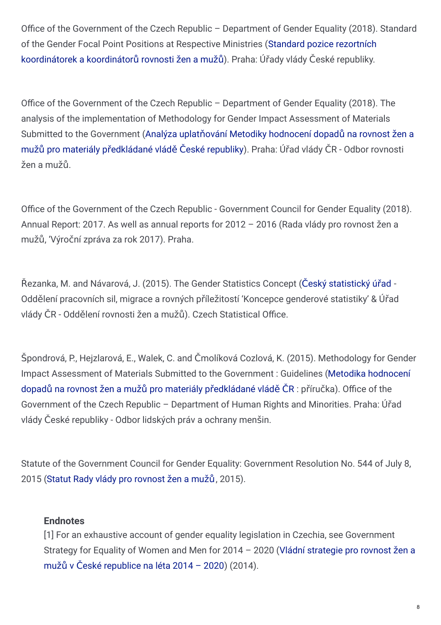Office of the Government of the Czech Republic – Department of Gender Equality (2018). Standard of the Gender Focal Point Positions at Respective Ministries (Standard pozice rezortních [koordinátorek](http://www.mocr.army.cz/assets/informacni-servis/povinne-informace/1-rovne-prilezitosti/standard-pozice-rezortnich-koordinatorek-a-koordinatoru-rovnosti-zen-a-muzu.pdf) a koordinátorů rovnosti žen a mužů). Praha: Úřady vlády České republiky.

Office of the Government of the Czech Republic – Department of Gender Equality (2018). The analysis of the implementation of Methodology for Gender Impact Assessment of Materials Submitted to the [Government](http://www.vlada.cz/assets/ppov/rovne-prilezitosti-zen-a-muzu/Projekt_OPZ/Vystupy_projektu/Analyza-uplatnovani-Metodiky-GIA.pdf) (Analýza uplatňování Metodiky hodnocení dopadů na rovnost žen a mužů pro materiály předkládané vládě České republiky). Praha: Úřad vlády ČR - Odbor rovnosti žen a mužů.

Office of the Government of the Czech Republic - Government Council for Gender Equality (2018). Annual Report: 2017. As well as annual reports for 2012 – 2016 (Rada vlády pro rovnost žen a mužů, 'Výroční zpráva za rok 2017). Praha.

Řezanka, M. and Návarová, J. (2015). The Gender Statistics Concept (Český [statistický](http://esf2014.esfcr.cz/dap/LW/Views/Core/Detail?action=get&id=8A000000-0000-0000-0000-000000021525&idForm=72365cd6-f664-4c8f-8b75-c637c9bfc32b&idbo=f42266a2-71fa-4be1-8242-eda4dd92cb4c#) úřad - Oddělení pracovních sil, migrace a rovných příležitostí 'Koncepce genderové statistiky' & Úřad vlády ČR - Oddělení rovnosti žen a mužů). Czech Statistical Office.

Špondrová, P., Hejzlarová, E., Walek, C. and Čmolíková Cozlová, K. (2015). Methodology for Gender Impact [Assessment](http://www.vlada.cz/assets/ppov/rovne-prilezitosti-zen-a-muzu/dokumenty/Metodika-PO-OPONENTURE.pdf) of Materials Submitted to the Government : Guidelines (Metodika hodnocení dopadů na rovnost žen a mužů pro materiály předkládané vládě ČR : příručka). Office of the Government of the Czech Republic – Department of Human Rights and Minorities. Praha: Úřad vlády České republiky - Odbor lidských práv a ochrany menšin.

Statute of the Government Council for Gender Equality: Government Resolution No. 544 of July 8, 2015 (Statut Rady vlády pro [rovnost](http://www.vlada.cz/assets/ppov/rovne-prilezitosti-zen-a-muzu/Statut_Rady_gender-_2018_-opraveno.pdf) žen a mužů, 2015).

#### **Endnotes**

[1] For an exhaustive account of gender equality legislation in Czechia, see Government Strategy for Equality of Women and Men for 2014 – 2020 (Vládní strategie pro rovnost žen a mužů v České [republice](http://www.vlada.cz/assets/ppov/rovne-prilezitosti-zen-a-muzu/Projekt_Optimalizace/Government_Strategy_for-Gender_Equality_2014_2020.pdf) na léta 2014 – 2020) (2014).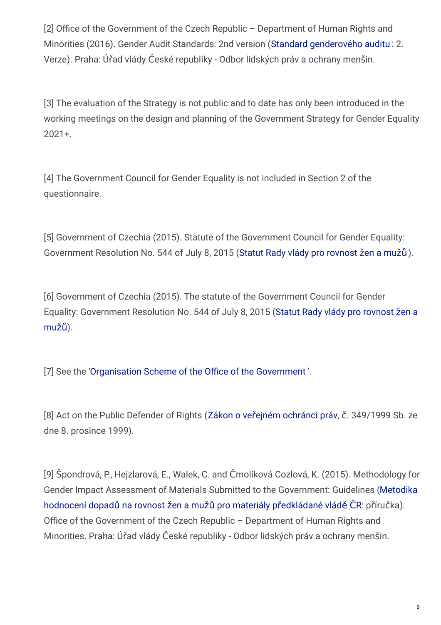[2] Office of the Government of the Czech Republic – Department of Human Rights and Minorities (2016). Gender Audit Standards: 2nd version (Standard [genderového](http://www.vlada.cz/assets/ppov/rovne-prilezitosti-zen-a-muzu/Projekt_Optimalizace/Standard_genderoveho_auditu_CJ.pdf) auditu : 2. Verze). Praha: Úřad vlády České republiky - Odbor lidských práv a ochrany menšin.

[3] The evaluation of the Strategy is not public and to date has only been introduced in the working meetings on the design and planning of the Government Strategy for Gender Equality 2021+.

[4] The Government Council for Gender Equality is not included in Section 2 of the questionnaire.

[5] Government of Czechia (2015). Statute of the Government Council for Gender Equality: Government Resolution No. 544 of July 8, 2015 (Statut Rady vlády pro [rovnost](http://www.vlada.cz/assets/ppov/rovne-prilezitosti-zen-a-muzu/Statut_Rady_gender-_2018_-opraveno.pdf) žen a mužů).

[6] Government of Czechia (2015). The statute of the Government Council for Gender Equality: [Government](http://www.vlada.cz/assets/ppov/rovne-prilezitosti-zen-a-muzu/Statut_Rady_gender-_2018_-opraveno.pdf) Resolution No. 544 of July 8, 2015 (Statut Rady vlády pro rovnost žen a mužů).

[7] See the ['Organisation](http://www.vlada.cz/assets/urad-vlady/organizacni-struktura/Organizacni-schema-platne-k-1--lednu-2019_1.pdf) Scheme of the Office of the Government'.

[8] Act on the Public Defender of Rights (Zákon o veřejném [ochránci](http://www.ochrance.cz/zakon-o-verejnem-ochranci-prav/) práv, č. 349/1999 Sb. ze dne 8. prosince 1999).

[9] Špondrová, P., Hejzlarová, E., Walek, C. and Čmolíková Cozlová, K. (2015). Methodology for Gender Impact Assessment of Materials Submitted to the [Government:](http://www.vlada.cz/assets/ppov/rovne-prilezitosti-zen-a-muzu/dokumenty/Metodika-PO-OPONENTURE.pdf) Guidelines (Metodika hodnocení dopadů na rovnost žen a mužů pro materiály předkládané vládě ČR: příručka). Office of the Government of the Czech Republic – Department of Human Rights and Minorities. Praha: Úřad vlády České republiky - Odbor lidských práv a ochrany menšin.